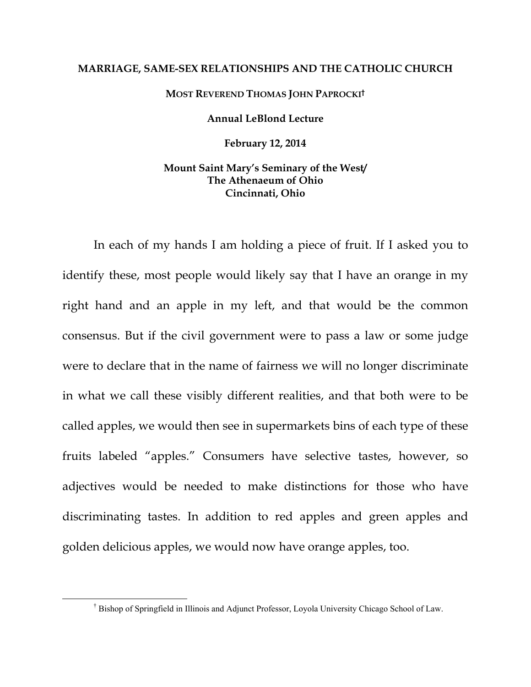### **MARRIAGE, SAME-SEX RELATIONSHIPS AND THE CATHOLIC CHURCH**

## **MOST REVEREND THOMAS JOHN PAPROCKI†**

### **Annual LeBlond Lecture**

**February 12, 2014** 

## **Mount Saint Mary's Seminary of the West/ The Athenaeum of Ohio Cincinnati, Ohio**

In each of my hands I am holding a piece of fruit. If I asked you to identify these, most people would likely say that I have an orange in my right hand and an apple in my left, and that would be the common consensus. But if the civil government were to pass a law or some judge were to declare that in the name of fairness we will no longer discriminate in what we call these visibly different realities, and that both were to be called apples, we would then see in supermarkets bins of each type of these fruits labeled "apples." Consumers have selective tastes, however, so adjectives would be needed to make distinctions for those who have discriminating tastes. In addition to red apples and green apples and golden delicious apples, we would now have orange apples, too.

 $\overline{\phantom{a}}$ Bishop of Springfield in Illinois and Adjunct Professor, Loyola University Chicago School of Law.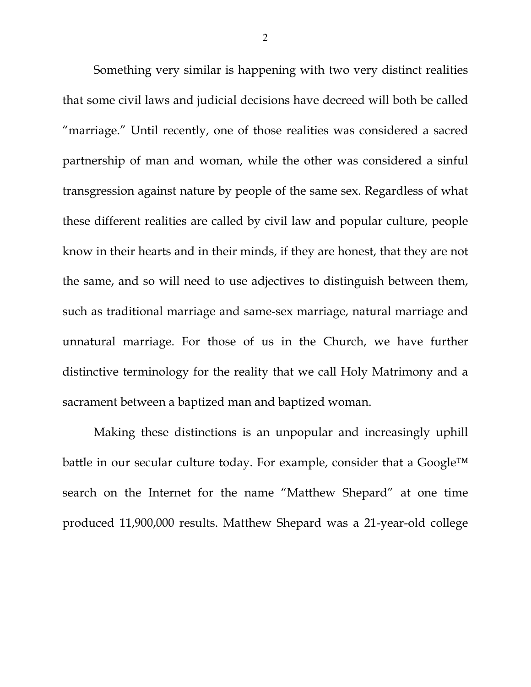Something very similar is happening with two very distinct realities that some civil laws and judicial decisions have decreed will both be called "marriage." Until recently, one of those realities was considered a sacred partnership of man and woman, while the other was considered a sinful transgression against nature by people of the same sex. Regardless of what these different realities are called by civil law and popular culture, people know in their hearts and in their minds, if they are honest, that they are not the same, and so will need to use adjectives to distinguish between them, such as traditional marriage and same-sex marriage, natural marriage and unnatural marriage. For those of us in the Church, we have further distinctive terminology for the reality that we call Holy Matrimony and a sacrament between a baptized man and baptized woman.

Making these distinctions is an unpopular and increasingly uphill battle in our secular culture today. For example, consider that a Google™ search on the Internet for the name "Matthew Shepard" at one time produced 11,900,000 results. Matthew Shepard was a 21-year-old college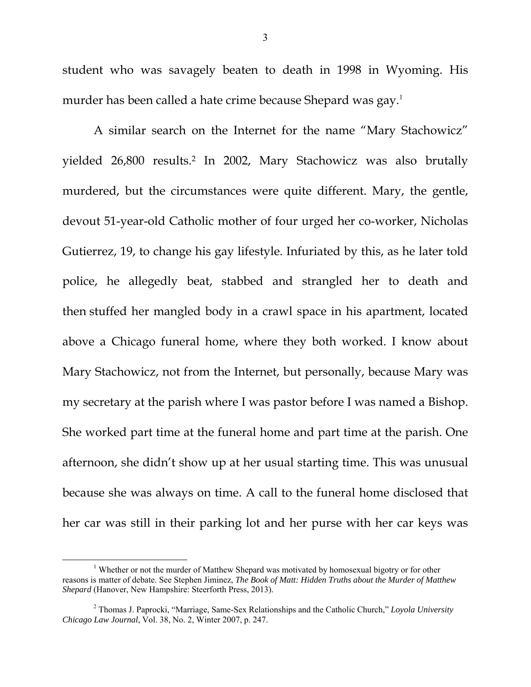student who was savagely beaten to death in 1998 in Wyoming. His murder has been called a hate crime because Shepard was gay.<sup>1</sup>

A similar search on the Internet for the name "Mary Stachowicz" yielded 26,800 results.2 In 2002, Mary Stachowicz was also brutally murdered, but the circumstances were quite different. Mary, the gentle, devout 51-year-old Catholic mother of four urged her co-worker, Nicholas Gutierrez, 19, to change his gay lifestyle. Infuriated by this, as he later told police, he allegedly beat, stabbed and strangled her to death and then stuffed her mangled body in a crawl space in his apartment, located above a Chicago funeral home, where they both worked. I know about Mary Stachowicz, not from the Internet, but personally, because Mary was my secretary at the parish where I was pastor before I was named a Bishop. She worked part time at the funeral home and part time at the parish. One afternoon, she didn't show up at her usual starting time. This was unusual because she was always on time. A call to the funeral home disclosed that her car was still in their parking lot and her purse with her car keys was

 $\frac{1}{1}$ <sup>1</sup> Whether or not the murder of Matthew Shepard was motivated by homosexual bigotry or for other reasons is matter of debate. See Stephen Jiminez, *The Book of Matt: Hidden Truths about the Murder of Matthew Shepard* (Hanover, New Hampshire: Steerforth Press, 2013).

<sup>2</sup> Thomas J. Paprocki, "Marriage, Same-Sex Relationships and the Catholic Church," *Loyola University Chicago Law Journal*, Vol. 38, No. 2, Winter 2007, p. 247.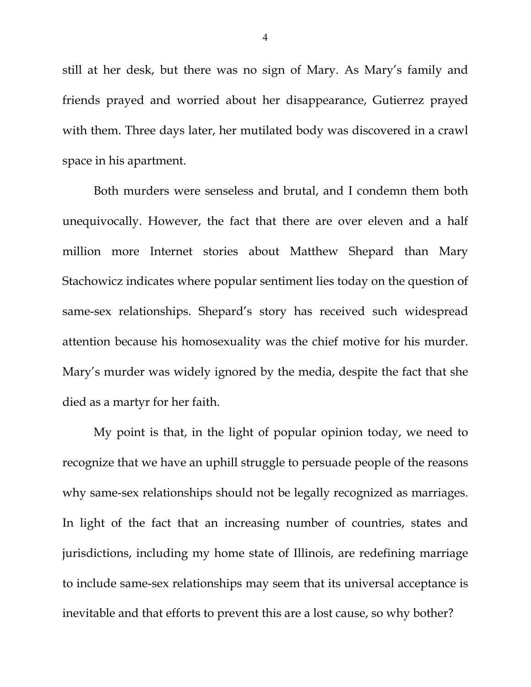still at her desk, but there was no sign of Mary. As Mary's family and friends prayed and worried about her disappearance, Gutierrez prayed with them. Three days later, her mutilated body was discovered in a crawl space in his apartment.

Both murders were senseless and brutal, and I condemn them both unequivocally. However, the fact that there are over eleven and a half million more Internet stories about Matthew Shepard than Mary Stachowicz indicates where popular sentiment lies today on the question of same-sex relationships. Shepard's story has received such widespread attention because his homosexuality was the chief motive for his murder. Mary's murder was widely ignored by the media, despite the fact that she died as a martyr for her faith.

My point is that, in the light of popular opinion today, we need to recognize that we have an uphill struggle to persuade people of the reasons why same-sex relationships should not be legally recognized as marriages. In light of the fact that an increasing number of countries, states and jurisdictions, including my home state of Illinois, are redefining marriage to include same-sex relationships may seem that its universal acceptance is inevitable and that efforts to prevent this are a lost cause, so why bother?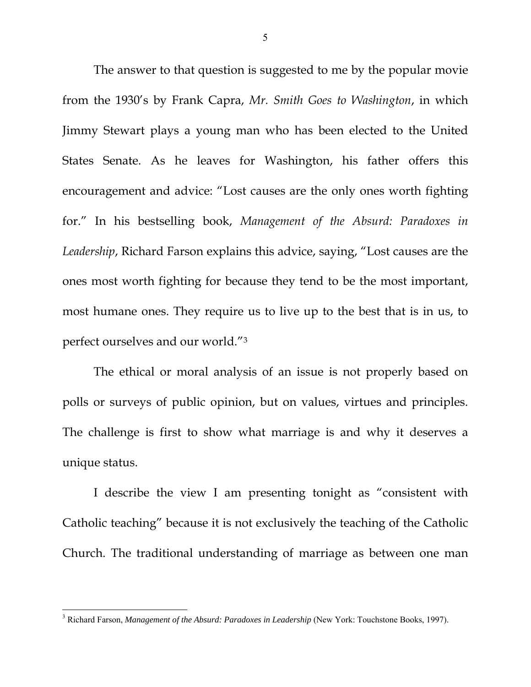The answer to that question is suggested to me by the popular movie from the 1930's by Frank Capra, *Mr. Smith Goes to Washington*, in which Jimmy Stewart plays a young man who has been elected to the United States Senate. As he leaves for Washington, his father offers this encouragement and advice: "Lost causes are the only ones worth fighting for." In his bestselling book, *Management of the Absurd: Paradoxes in Leadership*, Richard Farson explains this advice, saying, "Lost causes are the ones most worth fighting for because they tend to be the most important, most humane ones. They require us to live up to the best that is in us, to perfect ourselves and our world."3

The ethical or moral analysis of an issue is not properly based on polls or surveys of public opinion, but on values, virtues and principles. The challenge is first to show what marriage is and why it deserves a unique status.

I describe the view I am presenting tonight as "consistent with Catholic teaching" because it is not exclusively the teaching of the Catholic Church. The traditional understanding of marriage as between one man

 $\overline{a}$ 

<sup>&</sup>lt;sup>3</sup> Richard Farson, *Management of the Absurd: Paradoxes in Leadership* (New York: Touchstone Books, 1997).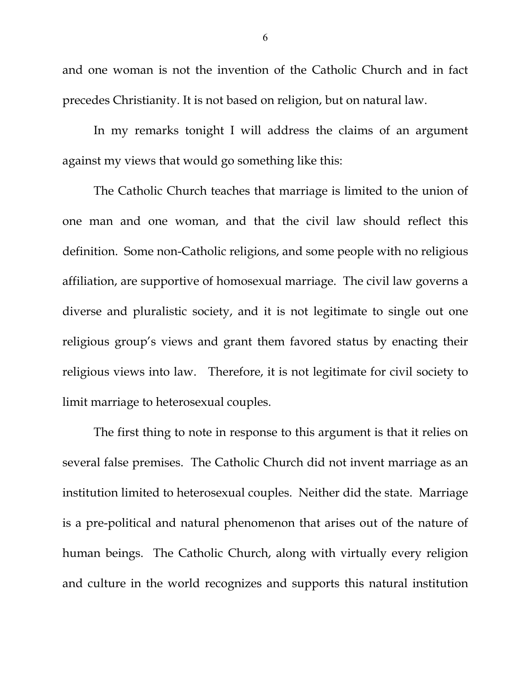and one woman is not the invention of the Catholic Church and in fact precedes Christianity. It is not based on religion, but on natural law.

In my remarks tonight I will address the claims of an argument against my views that would go something like this:

The Catholic Church teaches that marriage is limited to the union of one man and one woman, and that the civil law should reflect this definition. Some non-Catholic religions, and some people with no religious affiliation, are supportive of homosexual marriage. The civil law governs a diverse and pluralistic society, and it is not legitimate to single out one religious group's views and grant them favored status by enacting their religious views into law. Therefore, it is not legitimate for civil society to limit marriage to heterosexual couples.

The first thing to note in response to this argument is that it relies on several false premises. The Catholic Church did not invent marriage as an institution limited to heterosexual couples. Neither did the state. Marriage is a pre-political and natural phenomenon that arises out of the nature of human beings. The Catholic Church, along with virtually every religion and culture in the world recognizes and supports this natural institution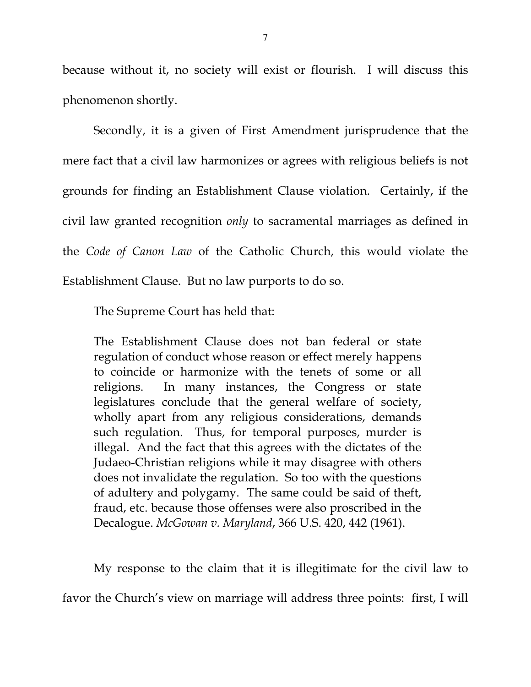because without it, no society will exist or flourish. I will discuss this phenomenon shortly.

Secondly, it is a given of First Amendment jurisprudence that the mere fact that a civil law harmonizes or agrees with religious beliefs is not grounds for finding an Establishment Clause violation. Certainly, if the civil law granted recognition *only* to sacramental marriages as defined in the *Code of Canon Law* of the Catholic Church, this would violate the Establishment Clause. But no law purports to do so.

The Supreme Court has held that:

The Establishment Clause does not ban federal or state regulation of conduct whose reason or effect merely happens to coincide or harmonize with the tenets of some or all religions. In many instances, the Congress or state legislatures conclude that the general welfare of society, wholly apart from any religious considerations, demands such regulation. Thus, for temporal purposes, murder is illegal. And the fact that this agrees with the dictates of the Judaeo-Christian religions while it may disagree with others does not invalidate the regulation. So too with the questions of adultery and polygamy. The same could be said of theft, fraud, etc. because those offenses were also proscribed in the Decalogue. *McGowan v. Maryland*, 366 U.S. 420, 442 (1961).

My response to the claim that it is illegitimate for the civil law to

favor the Church's view on marriage will address three points: first, I will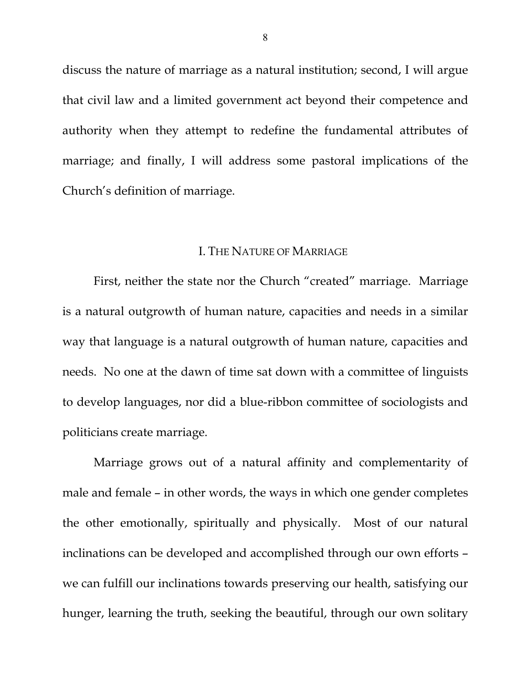discuss the nature of marriage as a natural institution; second, I will argue that civil law and a limited government act beyond their competence and authority when they attempt to redefine the fundamental attributes of marriage; and finally, I will address some pastoral implications of the Church's definition of marriage.

# I. THE NATURE OF MARRIAGE

First, neither the state nor the Church "created" marriage. Marriage is a natural outgrowth of human nature, capacities and needs in a similar way that language is a natural outgrowth of human nature, capacities and needs. No one at the dawn of time sat down with a committee of linguists to develop languages, nor did a blue-ribbon committee of sociologists and politicians create marriage.

Marriage grows out of a natural affinity and complementarity of male and female – in other words, the ways in which one gender completes the other emotionally, spiritually and physically. Most of our natural inclinations can be developed and accomplished through our own efforts – we can fulfill our inclinations towards preserving our health, satisfying our hunger, learning the truth, seeking the beautiful, through our own solitary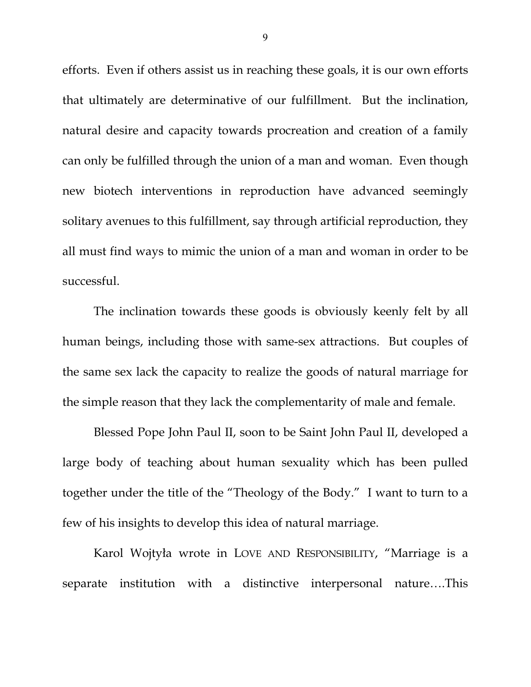efforts. Even if others assist us in reaching these goals, it is our own efforts that ultimately are determinative of our fulfillment. But the inclination, natural desire and capacity towards procreation and creation of a family can only be fulfilled through the union of a man and woman. Even though new biotech interventions in reproduction have advanced seemingly solitary avenues to this fulfillment, say through artificial reproduction, they all must find ways to mimic the union of a man and woman in order to be successful.

The inclination towards these goods is obviously keenly felt by all human beings, including those with same-sex attractions. But couples of the same sex lack the capacity to realize the goods of natural marriage for the simple reason that they lack the complementarity of male and female.

Blessed Pope John Paul II, soon to be Saint John Paul II, developed a large body of teaching about human sexuality which has been pulled together under the title of the "Theology of the Body." I want to turn to a few of his insights to develop this idea of natural marriage.

Karol Wojtyła wrote in LOVE AND RESPONSIBILITY, "Marriage is a separate institution with a distinctive interpersonal nature….This

9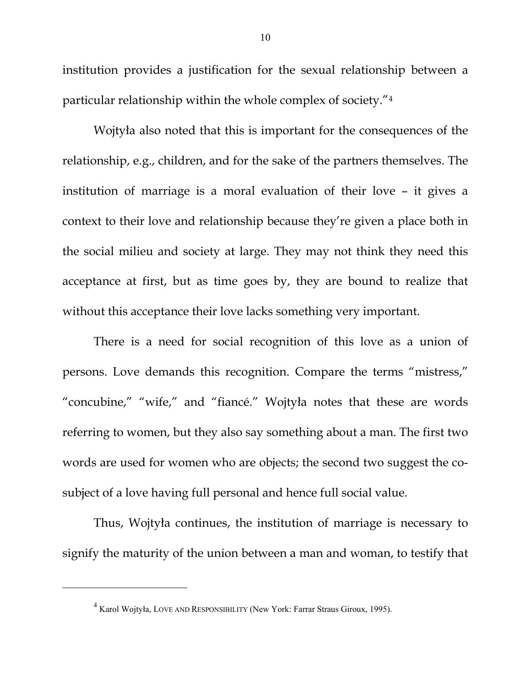institution provides a justification for the sexual relationship between a particular relationship within the whole complex of society."4

Wojtyła also noted that this is important for the consequences of the relationship, e.g., children, and for the sake of the partners themselves. The institution of marriage is a moral evaluation of their love – it gives a context to their love and relationship because they're given a place both in the social milieu and society at large. They may not think they need this acceptance at first, but as time goes by, they are bound to realize that without this acceptance their love lacks something very important.

There is a need for social recognition of this love as a union of persons. Love demands this recognition. Compare the terms "mistress," "concubine," "wife," and "fiancé." Wojtyła notes that these are words referring to women, but they also say something about a man. The first two words are used for women who are objects; the second two suggest the cosubject of a love having full personal and hence full social value.

Thus, Wojtyła continues, the institution of marriage is necessary to signify the maturity of the union between a man and woman, to testify that

 $\overline{a}$ 

<sup>4</sup> Karol Wojtyła, LOVE AND RESPONSIBILITY (New York: Farrar Straus Giroux, 1995).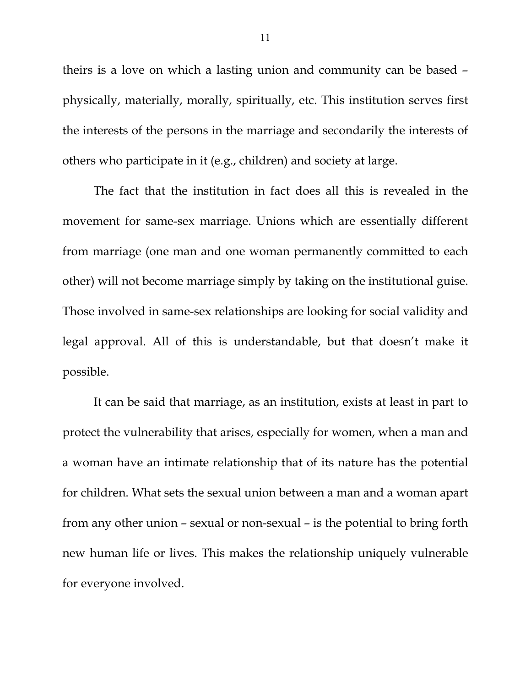theirs is a love on which a lasting union and community can be based – physically, materially, morally, spiritually, etc. This institution serves first the interests of the persons in the marriage and secondarily the interests of others who participate in it (e.g., children) and society at large.

The fact that the institution in fact does all this is revealed in the movement for same-sex marriage. Unions which are essentially different from marriage (one man and one woman permanently committed to each other) will not become marriage simply by taking on the institutional guise. Those involved in same-sex relationships are looking for social validity and legal approval. All of this is understandable, but that doesn't make it possible.

It can be said that marriage, as an institution, exists at least in part to protect the vulnerability that arises, especially for women, when a man and a woman have an intimate relationship that of its nature has the potential for children. What sets the sexual union between a man and a woman apart from any other union – sexual or non-sexual – is the potential to bring forth new human life or lives. This makes the relationship uniquely vulnerable for everyone involved.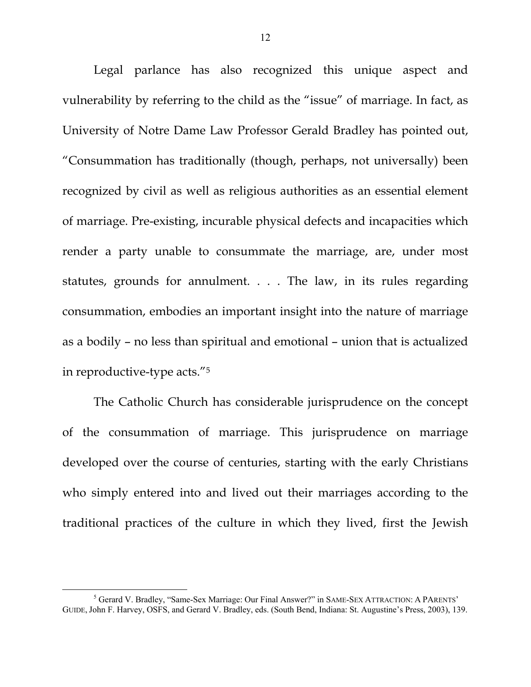Legal parlance has also recognized this unique aspect and vulnerability by referring to the child as the "issue" of marriage. In fact, as University of Notre Dame Law Professor Gerald Bradley has pointed out, "Consummation has traditionally (though, perhaps, not universally) been recognized by civil as well as religious authorities as an essential element of marriage. Pre-existing, incurable physical defects and incapacities which render a party unable to consummate the marriage, are, under most statutes, grounds for annulment. . . . The law, in its rules regarding consummation, embodies an important insight into the nature of marriage as a bodily – no less than spiritual and emotional – union that is actualized in reproductive-type acts."5

The Catholic Church has considerable jurisprudence on the concept of the consummation of marriage. This jurisprudence on marriage developed over the course of centuries, starting with the early Christians who simply entered into and lived out their marriages according to the traditional practices of the culture in which they lived, first the Jewish

 $\frac{1}{5}$ <sup>5</sup> Gerard V. Bradley, "Same-Sex Marriage: Our Final Answer?" in SAME-SEX ATTRACTION: A PARENTS' GUIDE, John F. Harvey, OSFS, and Gerard V. Bradley, eds. (South Bend, Indiana: St. Augustine's Press, 2003), 139.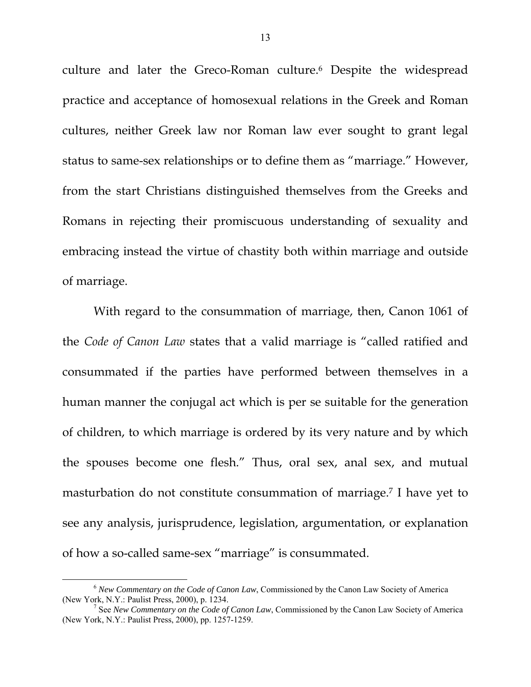culture and later the Greco-Roman culture.<sup>6</sup> Despite the widespread practice and acceptance of homosexual relations in the Greek and Roman cultures, neither Greek law nor Roman law ever sought to grant legal status to same-sex relationships or to define them as "marriage." However, from the start Christians distinguished themselves from the Greeks and Romans in rejecting their promiscuous understanding of sexuality and embracing instead the virtue of chastity both within marriage and outside of marriage.

With regard to the consummation of marriage, then, Canon 1061 of the *Code of Canon Law* states that a valid marriage is "called ratified and consummated if the parties have performed between themselves in a human manner the conjugal act which is per se suitable for the generation of children, to which marriage is ordered by its very nature and by which the spouses become one flesh." Thus, oral sex, anal sex, and mutual masturbation do not constitute consummation of marriage.7 I have yet to see any analysis, jurisprudence, legislation, argumentation, or explanation of how a so-called same-sex "marriage" is consummated.

 <sup>6</sup> *New Commentary on the Code of Canon Law*, Commissioned by the Canon Law Society of America (New York, N.Y.: Paulist Press, 2000), p. 1234. 7

<sup>&</sup>lt;sup>7</sup> See *New Commentary on the Code of Canon Law*, Commissioned by the Canon Law Society of America (New York, N.Y.: Paulist Press, 2000), pp. 1257-1259.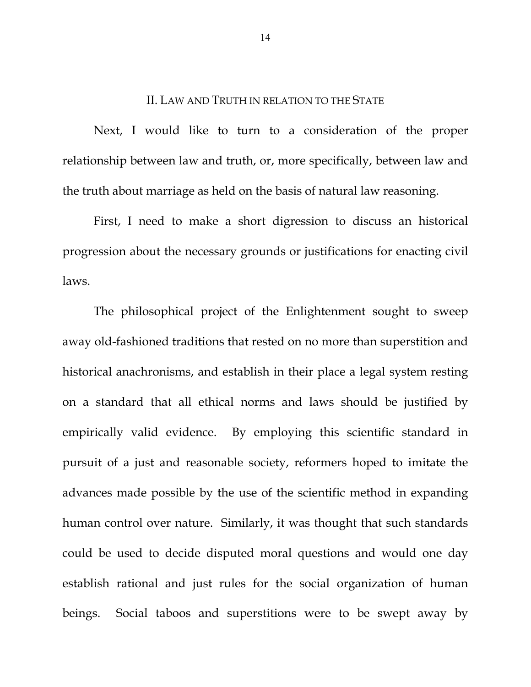# II. LAW AND TRUTH IN RELATION TO THE STATE

Next, I would like to turn to a consideration of the proper relationship between law and truth, or, more specifically, between law and the truth about marriage as held on the basis of natural law reasoning.

First, I need to make a short digression to discuss an historical progression about the necessary grounds or justifications for enacting civil laws.

The philosophical project of the Enlightenment sought to sweep away old-fashioned traditions that rested on no more than superstition and historical anachronisms, and establish in their place a legal system resting on a standard that all ethical norms and laws should be justified by empirically valid evidence. By employing this scientific standard in pursuit of a just and reasonable society, reformers hoped to imitate the advances made possible by the use of the scientific method in expanding human control over nature. Similarly, it was thought that such standards could be used to decide disputed moral questions and would one day establish rational and just rules for the social organization of human beings. Social taboos and superstitions were to be swept away by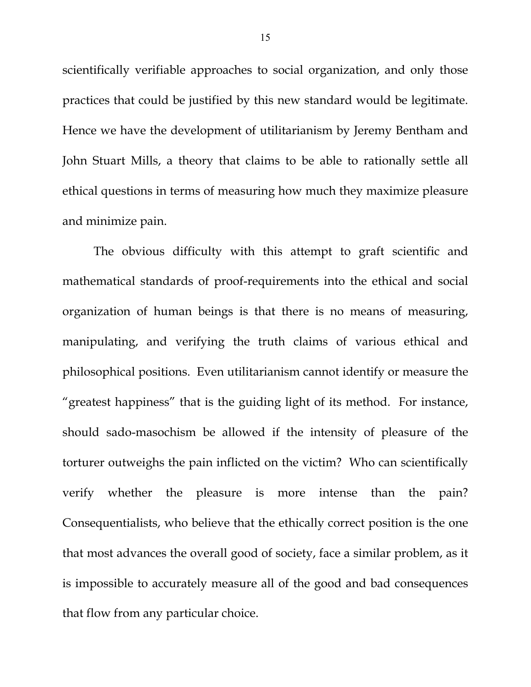scientifically verifiable approaches to social organization, and only those practices that could be justified by this new standard would be legitimate. Hence we have the development of utilitarianism by Jeremy Bentham and John Stuart Mills, a theory that claims to be able to rationally settle all ethical questions in terms of measuring how much they maximize pleasure and minimize pain.

The obvious difficulty with this attempt to graft scientific and mathematical standards of proof-requirements into the ethical and social organization of human beings is that there is no means of measuring, manipulating, and verifying the truth claims of various ethical and philosophical positions. Even utilitarianism cannot identify or measure the "greatest happiness" that is the guiding light of its method. For instance, should sado-masochism be allowed if the intensity of pleasure of the torturer outweighs the pain inflicted on the victim? Who can scientifically verify whether the pleasure is more intense than the pain? Consequentialists, who believe that the ethically correct position is the one that most advances the overall good of society, face a similar problem, as it is impossible to accurately measure all of the good and bad consequences that flow from any particular choice.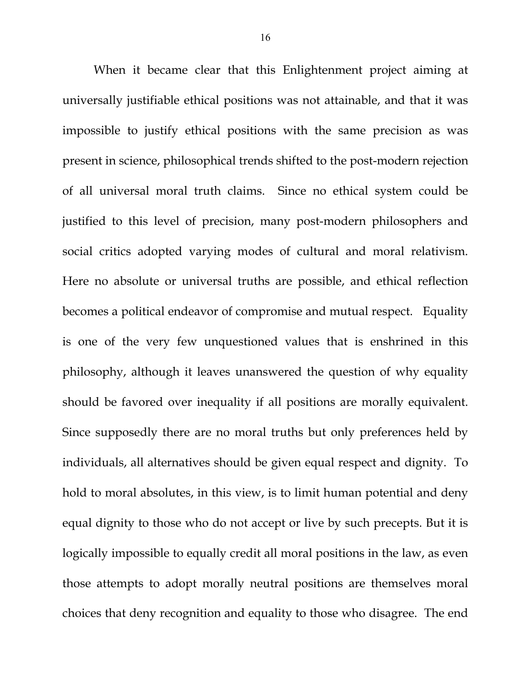When it became clear that this Enlightenment project aiming at universally justifiable ethical positions was not attainable, and that it was impossible to justify ethical positions with the same precision as was present in science, philosophical trends shifted to the post-modern rejection of all universal moral truth claims. Since no ethical system could be justified to this level of precision, many post-modern philosophers and social critics adopted varying modes of cultural and moral relativism. Here no absolute or universal truths are possible, and ethical reflection becomes a political endeavor of compromise and mutual respect. Equality is one of the very few unquestioned values that is enshrined in this philosophy, although it leaves unanswered the question of why equality should be favored over inequality if all positions are morally equivalent. Since supposedly there are no moral truths but only preferences held by individuals, all alternatives should be given equal respect and dignity. To hold to moral absolutes, in this view, is to limit human potential and deny equal dignity to those who do not accept or live by such precepts. But it is logically impossible to equally credit all moral positions in the law, as even those attempts to adopt morally neutral positions are themselves moral choices that deny recognition and equality to those who disagree. The end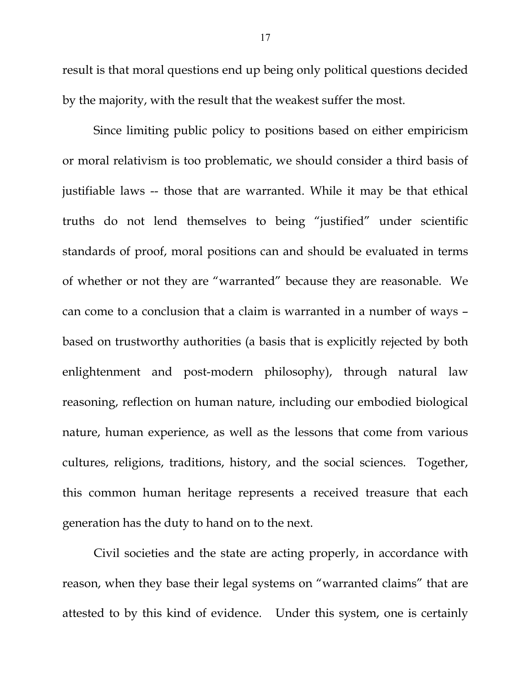result is that moral questions end up being only political questions decided by the majority, with the result that the weakest suffer the most.

Since limiting public policy to positions based on either empiricism or moral relativism is too problematic, we should consider a third basis of justifiable laws -- those that are warranted. While it may be that ethical truths do not lend themselves to being "justified" under scientific standards of proof, moral positions can and should be evaluated in terms of whether or not they are "warranted" because they are reasonable. We can come to a conclusion that a claim is warranted in a number of ways – based on trustworthy authorities (a basis that is explicitly rejected by both enlightenment and post-modern philosophy), through natural law reasoning, reflection on human nature, including our embodied biological nature, human experience, as well as the lessons that come from various cultures, religions, traditions, history, and the social sciences. Together, this common human heritage represents a received treasure that each generation has the duty to hand on to the next.

Civil societies and the state are acting properly, in accordance with reason, when they base their legal systems on "warranted claims" that are attested to by this kind of evidence. Under this system, one is certainly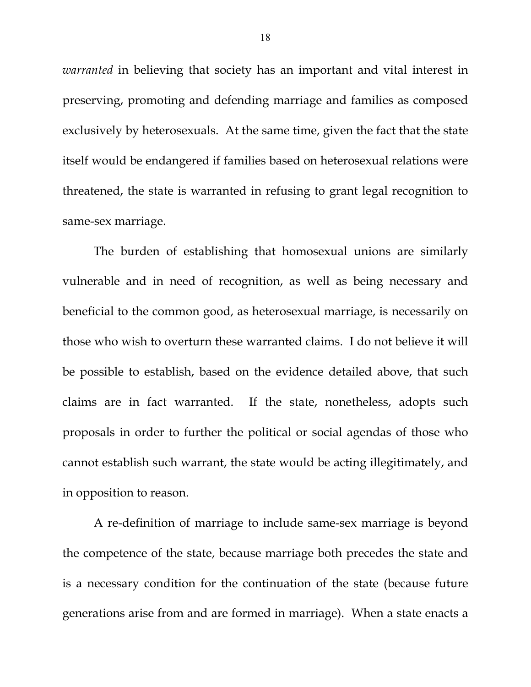*warranted* in believing that society has an important and vital interest in preserving, promoting and defending marriage and families as composed exclusively by heterosexuals. At the same time, given the fact that the state itself would be endangered if families based on heterosexual relations were threatened, the state is warranted in refusing to grant legal recognition to same-sex marriage.

The burden of establishing that homosexual unions are similarly vulnerable and in need of recognition, as well as being necessary and beneficial to the common good, as heterosexual marriage, is necessarily on those who wish to overturn these warranted claims. I do not believe it will be possible to establish, based on the evidence detailed above, that such claims are in fact warranted. If the state, nonetheless, adopts such proposals in order to further the political or social agendas of those who cannot establish such warrant, the state would be acting illegitimately, and in opposition to reason.

A re-definition of marriage to include same-sex marriage is beyond the competence of the state, because marriage both precedes the state and is a necessary condition for the continuation of the state (because future generations arise from and are formed in marriage). When a state enacts a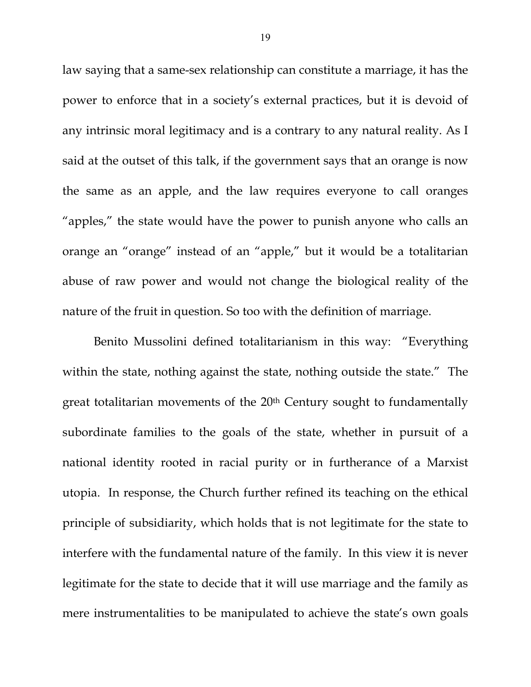law saying that a same-sex relationship can constitute a marriage, it has the power to enforce that in a society's external practices, but it is devoid of any intrinsic moral legitimacy and is a contrary to any natural reality. As I said at the outset of this talk, if the government says that an orange is now the same as an apple, and the law requires everyone to call oranges "apples," the state would have the power to punish anyone who calls an orange an "orange" instead of an "apple," but it would be a totalitarian abuse of raw power and would not change the biological reality of the nature of the fruit in question. So too with the definition of marriage.

Benito Mussolini defined totalitarianism in this way: "Everything within the state, nothing against the state, nothing outside the state." The great totalitarian movements of the 20<sup>th</sup> Century sought to fundamentally subordinate families to the goals of the state, whether in pursuit of a national identity rooted in racial purity or in furtherance of a Marxist utopia. In response, the Church further refined its teaching on the ethical principle of subsidiarity, which holds that is not legitimate for the state to interfere with the fundamental nature of the family. In this view it is never legitimate for the state to decide that it will use marriage and the family as mere instrumentalities to be manipulated to achieve the state's own goals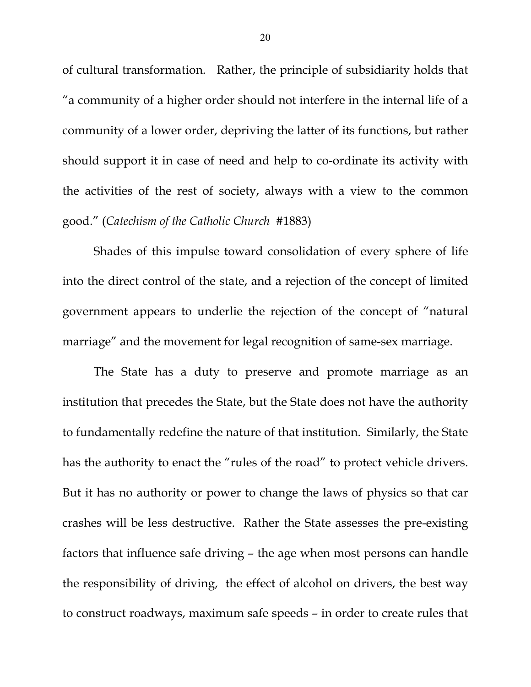of cultural transformation. Rather, the principle of subsidiarity holds that "a community of a higher order should not interfere in the internal life of a community of a lower order, depriving the latter of its functions, but rather should support it in case of need and help to co-ordinate its activity with the activities of the rest of society, always with a view to the common good." (*Catechism of the Catholic Church* #1883)

Shades of this impulse toward consolidation of every sphere of life into the direct control of the state, and a rejection of the concept of limited government appears to underlie the rejection of the concept of "natural marriage" and the movement for legal recognition of same-sex marriage.

The State has a duty to preserve and promote marriage as an institution that precedes the State, but the State does not have the authority to fundamentally redefine the nature of that institution. Similarly, the State has the authority to enact the "rules of the road" to protect vehicle drivers. But it has no authority or power to change the laws of physics so that car crashes will be less destructive. Rather the State assesses the pre-existing factors that influence safe driving – the age when most persons can handle the responsibility of driving, the effect of alcohol on drivers, the best way to construct roadways, maximum safe speeds – in order to create rules that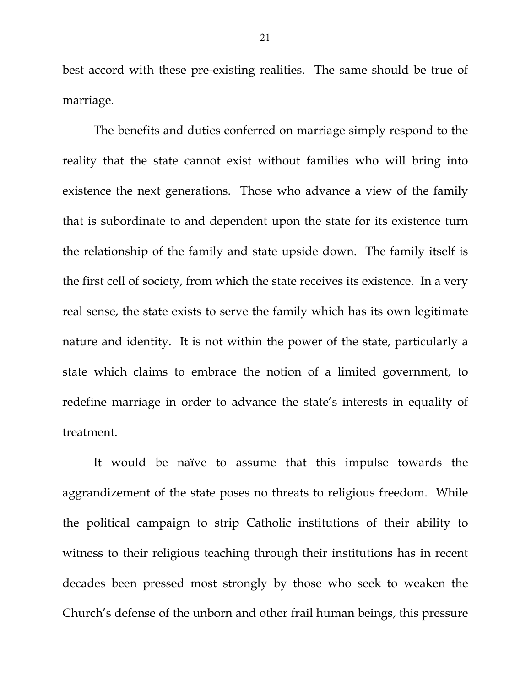best accord with these pre-existing realities. The same should be true of marriage.

The benefits and duties conferred on marriage simply respond to the reality that the state cannot exist without families who will bring into existence the next generations. Those who advance a view of the family that is subordinate to and dependent upon the state for its existence turn the relationship of the family and state upside down. The family itself is the first cell of society, from which the state receives its existence. In a very real sense, the state exists to serve the family which has its own legitimate nature and identity. It is not within the power of the state, particularly a state which claims to embrace the notion of a limited government, to redefine marriage in order to advance the state's interests in equality of treatment.

It would be naïve to assume that this impulse towards the aggrandizement of the state poses no threats to religious freedom. While the political campaign to strip Catholic institutions of their ability to witness to their religious teaching through their institutions has in recent decades been pressed most strongly by those who seek to weaken the Church's defense of the unborn and other frail human beings, this pressure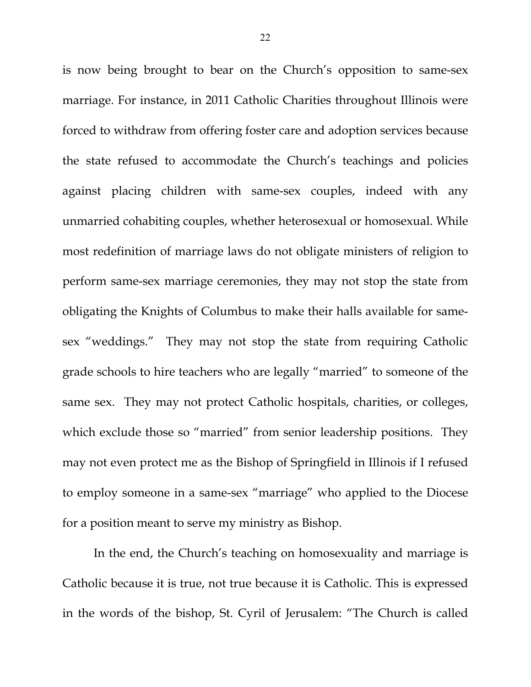is now being brought to bear on the Church's opposition to same-sex marriage. For instance, in 2011 Catholic Charities throughout Illinois were forced to withdraw from offering foster care and adoption services because the state refused to accommodate the Church's teachings and policies against placing children with same-sex couples, indeed with any unmarried cohabiting couples, whether heterosexual or homosexual. While most redefinition of marriage laws do not obligate ministers of religion to perform same-sex marriage ceremonies, they may not stop the state from obligating the Knights of Columbus to make their halls available for samesex "weddings." They may not stop the state from requiring Catholic grade schools to hire teachers who are legally "married" to someone of the same sex. They may not protect Catholic hospitals, charities, or colleges, which exclude those so "married" from senior leadership positions. They may not even protect me as the Bishop of Springfield in Illinois if I refused to employ someone in a same-sex "marriage" who applied to the Diocese for a position meant to serve my ministry as Bishop.

In the end, the Church's teaching on homosexuality and marriage is Catholic because it is true, not true because it is Catholic. This is expressed in the words of the bishop, St. Cyril of Jerusalem: "The Church is called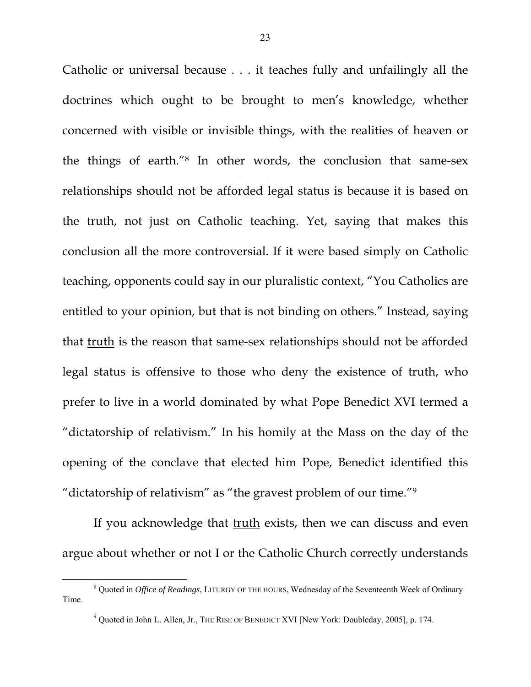Catholic or universal because . . . it teaches fully and unfailingly all the doctrines which ought to be brought to men's knowledge, whether concerned with visible or invisible things, with the realities of heaven or the things of earth."8 In other words, the conclusion that same-sex relationships should not be afforded legal status is because it is based on the truth, not just on Catholic teaching. Yet, saying that makes this conclusion all the more controversial. If it were based simply on Catholic teaching, opponents could say in our pluralistic context, "You Catholics are entitled to your opinion, but that is not binding on others." Instead, saying that truth is the reason that same-sex relationships should not be afforded legal status is offensive to those who deny the existence of truth, who prefer to live in a world dominated by what Pope Benedict XVI termed a "dictatorship of relativism." In his homily at the Mass on the day of the opening of the conclave that elected him Pope, Benedict identified this "dictatorship of relativism" as "the gravest problem of our time."9

If you acknowledge that truth exists, then we can discuss and even argue about whether or not I or the Catholic Church correctly understands

 $\frac{1}{8}$  Quoted in *Office of Readings*, LITURGY OF THE HOURS, Wednesday of the Seventeenth Week of Ordinary Time.

 $9$  Quoted in John L. Allen, Jr., THE RISE OF BENEDICT XVI [New York: Doubleday, 2005], p. 174.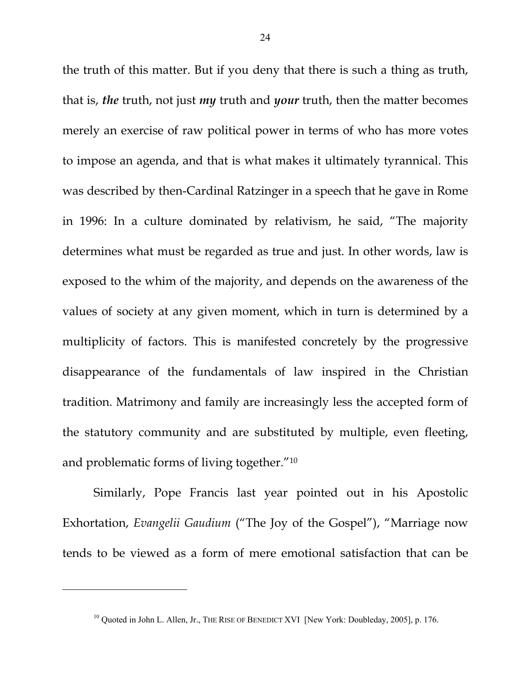the truth of this matter. But if you deny that there is such a thing as truth, that is, *the* truth, not just *my* truth and *your* truth, then the matter becomes merely an exercise of raw political power in terms of who has more votes to impose an agenda, and that is what makes it ultimately tyrannical. This was described by then-Cardinal Ratzinger in a speech that he gave in Rome in 1996: In a culture dominated by relativism, he said, "The majority determines what must be regarded as true and just. In other words, law is exposed to the whim of the majority, and depends on the awareness of the values of society at any given moment, which in turn is determined by a multiplicity of factors. This is manifested concretely by the progressive disappearance of the fundamentals of law inspired in the Christian tradition. Matrimony and family are increasingly less the accepted form of the statutory community and are substituted by multiple, even fleeting, and problematic forms of living together."10

Similarly, Pope Francis last year pointed out in his Apostolic Exhortation, *Evangelii Gaudium* ("The Joy of the Gospel"), "Marriage now tends to be viewed as a form of mere emotional satisfaction that can be

 $\overline{a}$ 

 $10$  Quoted in John L. Allen, Jr., THE RISE OF BENEDICT XVI [New York: Doubleday, 2005], p. 176.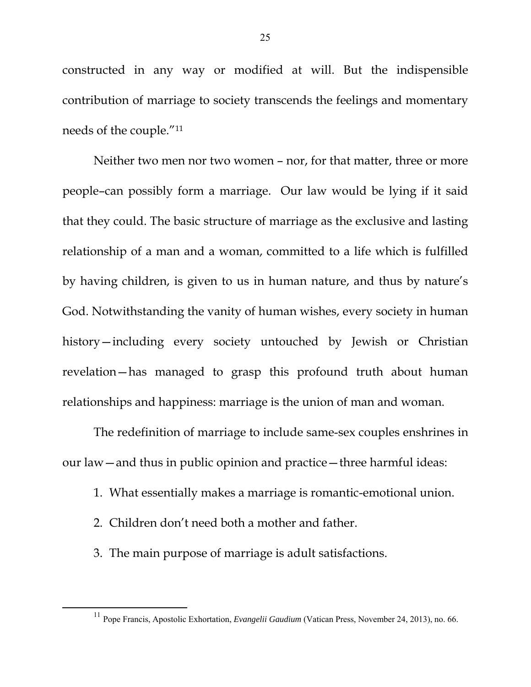constructed in any way or modified at will. But the indispensible contribution of marriage to society transcends the feelings and momentary needs of the couple."11

Neither two men nor two women – nor, for that matter, three or more people–can possibly form a marriage. Our law would be lying if it said that they could. The basic structure of marriage as the exclusive and lasting relationship of a man and a woman, committed to a life which is fulfilled by having children, is given to us in human nature, and thus by nature's God. Notwithstanding the vanity of human wishes, every society in human history—including every society untouched by Jewish or Christian revelation—has managed to grasp this profound truth about human relationships and happiness: marriage is the union of man and woman.

The redefinition of marriage to include same-sex couples enshrines in our law—and thus in public opinion and practice—three harmful ideas:

- 1. What essentially makes a marriage is romantic-emotional union.
- 2. Children don't need both a mother and father.
- 3. The main purpose of marriage is adult satisfactions.

 <sup>11</sup> Pope Francis, Apostolic Exhortation, *Evangelii Gaudium* (Vatican Press, November 24, 2013), no. 66.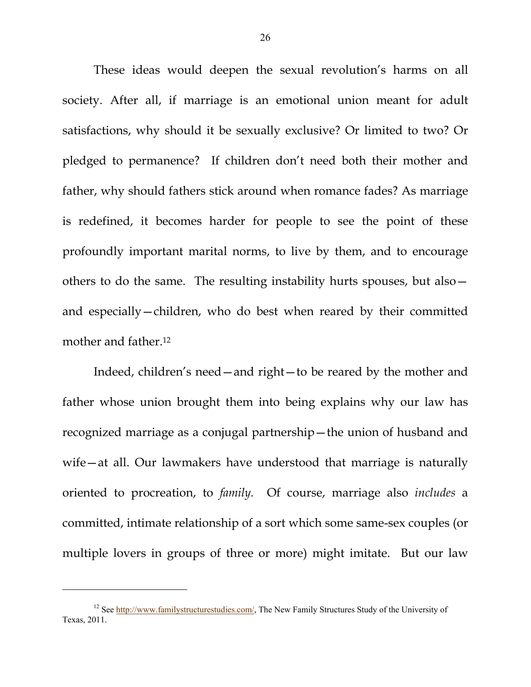These ideas would deepen the sexual revolution's harms on all society. After all, if marriage is an emotional union meant for adult satisfactions, why should it be sexually exclusive? Or limited to two? Or pledged to permanence? If children don't need both their mother and father, why should fathers stick around when romance fades? As marriage is redefined, it becomes harder for people to see the point of these profoundly important marital norms, to live by them, and to encourage others to do the same. The resulting instability hurts spouses, but also and especially—children, who do best when reared by their committed mother and father.12

Indeed, children's need—and right—to be reared by the mother and father whose union brought them into being explains why our law has recognized marriage as a conjugal partnership—the union of husband and wife—at all. Our lawmakers have understood that marriage is naturally oriented to procreation, to *family.* Of course, marriage also *includes* a committed, intimate relationship of a sort which some same-sex couples (or multiple lovers in groups of three or more) might imitate. But our law

 $\overline{a}$ 

<sup>&</sup>lt;sup>12</sup> See http://www.familystructurestudies.com/, The New Family Structures Study of the University of Texas, 2011.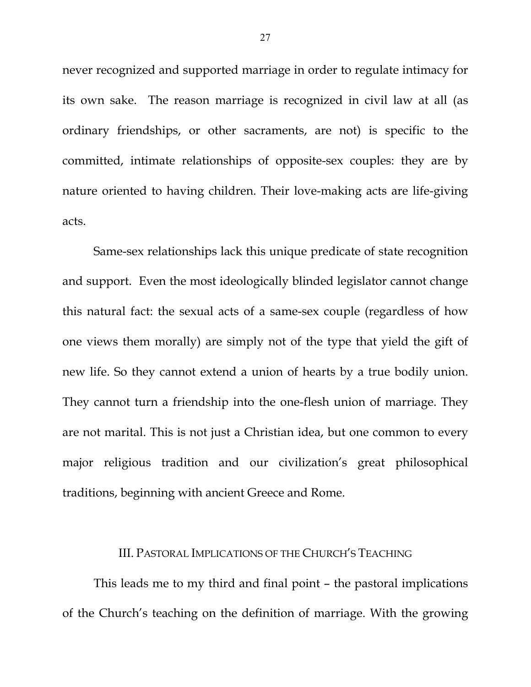never recognized and supported marriage in order to regulate intimacy for its own sake. The reason marriage is recognized in civil law at all (as ordinary friendships, or other sacraments, are not) is specific to the committed, intimate relationships of opposite-sex couples: they are by nature oriented to having children. Their love-making acts are life-giving acts.

Same-sex relationships lack this unique predicate of state recognition and support. Even the most ideologically blinded legislator cannot change this natural fact: the sexual acts of a same-sex couple (regardless of how one views them morally) are simply not of the type that yield the gift of new life. So they cannot extend a union of hearts by a true bodily union. They cannot turn a friendship into the one-flesh union of marriage. They are not marital. This is not just a Christian idea, but one common to every major religious tradition and our civilization's great philosophical traditions, beginning with ancient Greece and Rome.

## III. PASTORAL IMPLICATIONS OF THE CHURCH'S TEACHING

This leads me to my third and final point – the pastoral implications of the Church's teaching on the definition of marriage. With the growing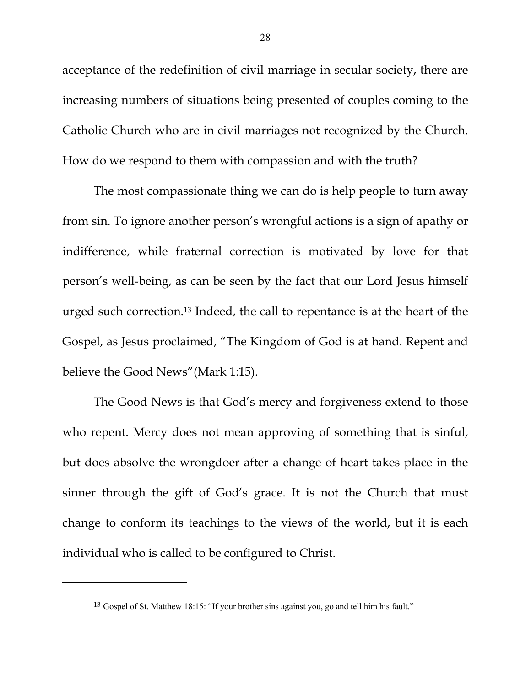acceptance of the redefinition of civil marriage in secular society, there are increasing numbers of situations being presented of couples coming to the Catholic Church who are in civil marriages not recognized by the Church. How do we respond to them with compassion and with the truth?

The most compassionate thing we can do is help people to turn away from sin. To ignore another person's wrongful actions is a sign of apathy or indifference, while fraternal correction is motivated by love for that person's well-being, as can be seen by the fact that our Lord Jesus himself urged such correction.13 Indeed, the call to repentance is at the heart of the Gospel, as Jesus proclaimed, "The Kingdom of God is at hand. Repent and believe the Good News"(Mark 1:15).

 The Good News is that God's mercy and forgiveness extend to those who repent. Mercy does not mean approving of something that is sinful, but does absolve the wrongdoer after a change of heart takes place in the sinner through the gift of God's grace. It is not the Church that must change to conform its teachings to the views of the world, but it is each individual who is called to be configured to Christ.

 $\overline{a}$ 

<sup>13</sup> Gospel of St. Matthew 18:15: "If your brother sins against you, go and tell him his fault."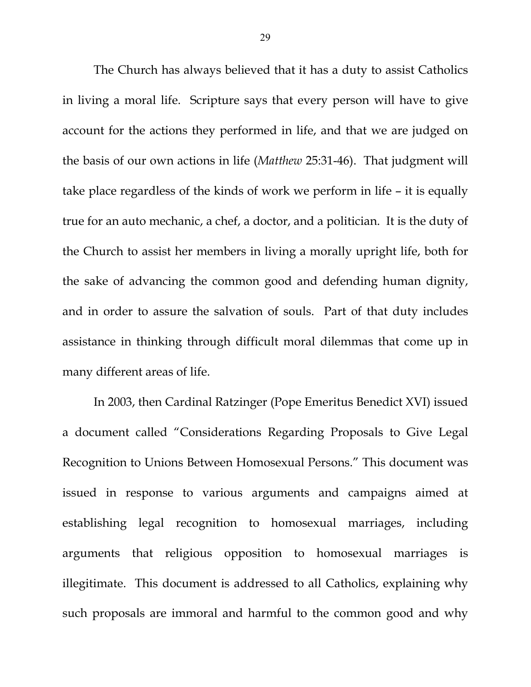The Church has always believed that it has a duty to assist Catholics in living a moral life. Scripture says that every person will have to give account for the actions they performed in life, and that we are judged on the basis of our own actions in life (*Matthew* 25:31-46). That judgment will take place regardless of the kinds of work we perform in life – it is equally true for an auto mechanic, a chef, a doctor, and a politician. It is the duty of the Church to assist her members in living a morally upright life, both for the sake of advancing the common good and defending human dignity, and in order to assure the salvation of souls. Part of that duty includes assistance in thinking through difficult moral dilemmas that come up in many different areas of life.

In 2003, then Cardinal Ratzinger (Pope Emeritus Benedict XVI) issued a document called "Considerations Regarding Proposals to Give Legal Recognition to Unions Between Homosexual Persons." This document was issued in response to various arguments and campaigns aimed at establishing legal recognition to homosexual marriages, including arguments that religious opposition to homosexual marriages is illegitimate. This document is addressed to all Catholics, explaining why such proposals are immoral and harmful to the common good and why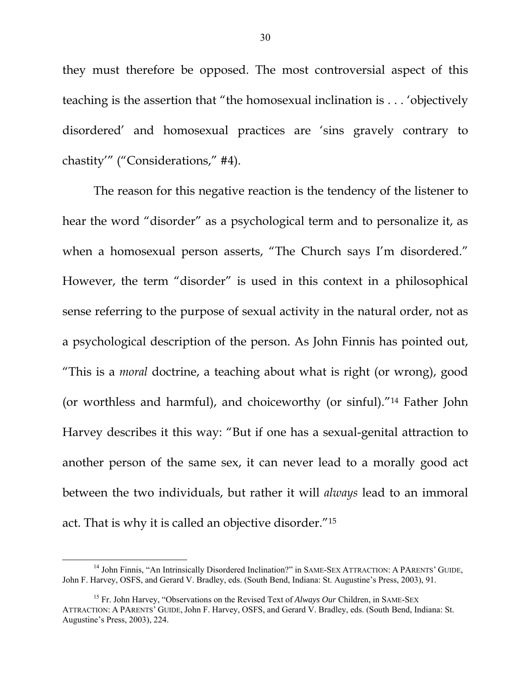they must therefore be opposed. The most controversial aspect of this teaching is the assertion that "the homosexual inclination is . . . 'objectively disordered' and homosexual practices are 'sins gravely contrary to chastity'" ("Considerations," #4).

The reason for this negative reaction is the tendency of the listener to hear the word "disorder" as a psychological term and to personalize it, as when a homosexual person asserts, "The Church says I'm disordered." However, the term "disorder" is used in this context in a philosophical sense referring to the purpose of sexual activity in the natural order, not as a psychological description of the person. As John Finnis has pointed out, "This is a *moral* doctrine, a teaching about what is right (or wrong), good (or worthless and harmful), and choiceworthy (or sinful)."14 Father John Harvey describes it this way: "But if one has a sexual-genital attraction to another person of the same sex, it can never lead to a morally good act between the two individuals, but rather it will *always* lead to an immoral act. That is why it is called an objective disorder."15

<sup>&</sup>lt;sup>14</sup> John Finnis, "An Intrinsically Disordered Inclination?" in SAME-SEX ATTRACTION: A PARENTS' GUIDE, John F. Harvey, OSFS, and Gerard V. Bradley, eds. (South Bend, Indiana: St. Augustine's Press, 2003), 91.

<sup>15</sup> Fr. John Harvey, "Observations on the Revised Text of *Always Our* Children, in SAME-SEX ATTRACTION: A PARENTS' GUIDE, John F. Harvey, OSFS, and Gerard V. Bradley, eds. (South Bend, Indiana: St. Augustine's Press, 2003), 224.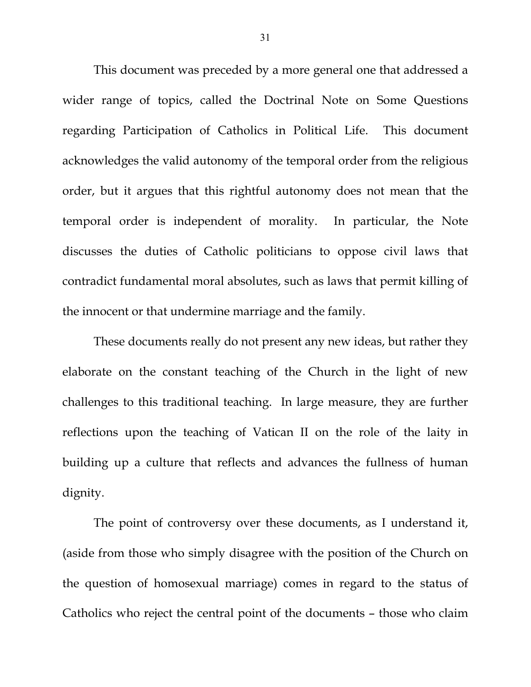This document was preceded by a more general one that addressed a wider range of topics, called the Doctrinal Note on Some Questions regarding Participation of Catholics in Political Life. This document acknowledges the valid autonomy of the temporal order from the religious order, but it argues that this rightful autonomy does not mean that the temporal order is independent of morality. In particular, the Note discusses the duties of Catholic politicians to oppose civil laws that contradict fundamental moral absolutes, such as laws that permit killing of the innocent or that undermine marriage and the family.

These documents really do not present any new ideas, but rather they elaborate on the constant teaching of the Church in the light of new challenges to this traditional teaching. In large measure, they are further reflections upon the teaching of Vatican II on the role of the laity in building up a culture that reflects and advances the fullness of human dignity.

The point of controversy over these documents, as I understand it, (aside from those who simply disagree with the position of the Church on the question of homosexual marriage) comes in regard to the status of Catholics who reject the central point of the documents – those who claim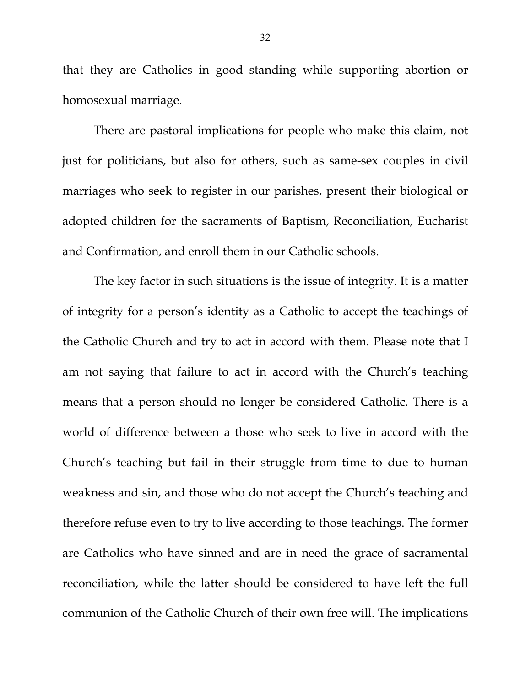that they are Catholics in good standing while supporting abortion or homosexual marriage.

There are pastoral implications for people who make this claim, not just for politicians, but also for others, such as same-sex couples in civil marriages who seek to register in our parishes, present their biological or adopted children for the sacraments of Baptism, Reconciliation, Eucharist and Confirmation, and enroll them in our Catholic schools.

The key factor in such situations is the issue of integrity. It is a matter of integrity for a person's identity as a Catholic to accept the teachings of the Catholic Church and try to act in accord with them. Please note that I am not saying that failure to act in accord with the Church's teaching means that a person should no longer be considered Catholic. There is a world of difference between a those who seek to live in accord with the Church's teaching but fail in their struggle from time to due to human weakness and sin, and those who do not accept the Church's teaching and therefore refuse even to try to live according to those teachings. The former are Catholics who have sinned and are in need the grace of sacramental reconciliation, while the latter should be considered to have left the full communion of the Catholic Church of their own free will. The implications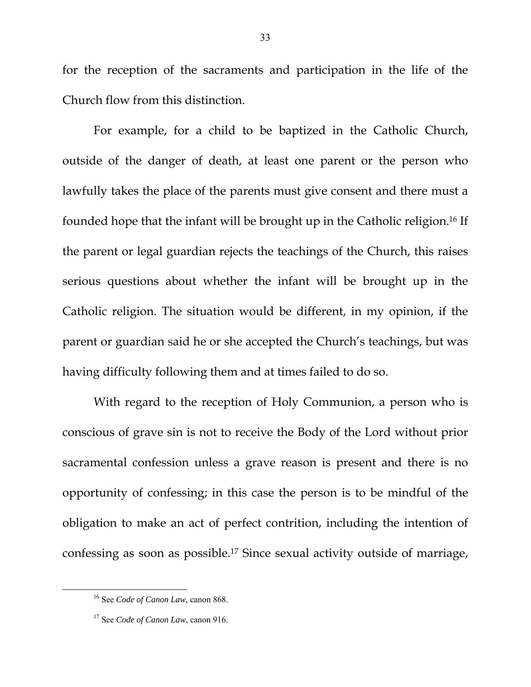for the reception of the sacraments and participation in the life of the Church flow from this distinction.

For example, for a child to be baptized in the Catholic Church, outside of the danger of death, at least one parent or the person who lawfully takes the place of the parents must give consent and there must a founded hope that the infant will be brought up in the Catholic religion.16 If the parent or legal guardian rejects the teachings of the Church, this raises serious questions about whether the infant will be brought up in the Catholic religion. The situation would be different, in my opinion, if the parent or guardian said he or she accepted the Church's teachings, but was having difficulty following them and at times failed to do so.

With regard to the reception of Holy Communion, a person who is conscious of grave sin is not to receive the Body of the Lord without prior sacramental confession unless a grave reason is present and there is no opportunity of confessing; in this case the person is to be mindful of the obligation to make an act of perfect contrition, including the intention of confessing as soon as possible.17 Since sexual activity outside of marriage,

 <sup>16</sup> See *Code of Canon Law*, canon 868.

<sup>17</sup> See *Code of Canon Law*, canon 916.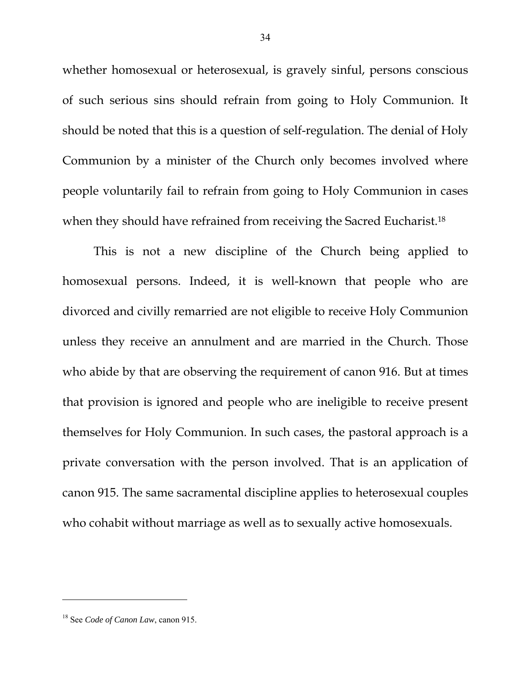whether homosexual or heterosexual, is gravely sinful, persons conscious of such serious sins should refrain from going to Holy Communion. It should be noted that this is a question of self-regulation. The denial of Holy Communion by a minister of the Church only becomes involved where people voluntarily fail to refrain from going to Holy Communion in cases when they should have refrained from receiving the Sacred Eucharist.<sup>18</sup>

This is not a new discipline of the Church being applied to homosexual persons. Indeed, it is well-known that people who are divorced and civilly remarried are not eligible to receive Holy Communion unless they receive an annulment and are married in the Church. Those who abide by that are observing the requirement of canon 916. But at times that provision is ignored and people who are ineligible to receive present themselves for Holy Communion. In such cases, the pastoral approach is a private conversation with the person involved. That is an application of canon 915. The same sacramental discipline applies to heterosexual couples who cohabit without marriage as well as to sexually active homosexuals.

 $\overline{a}$ 

<sup>18</sup> See *Code of Canon Law*, canon 915.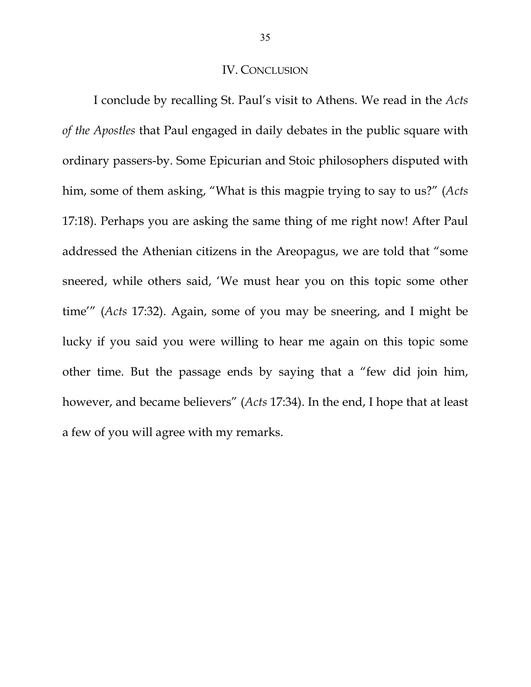## IV. CONCLUSION

 I conclude by recalling St. Paul's visit to Athens. We read in the *Acts of the Apostles* that Paul engaged in daily debates in the public square with ordinary passers-by. Some Epicurian and Stoic philosophers disputed with him, some of them asking, "What is this magpie trying to say to us?" (*Acts* 17:18). Perhaps you are asking the same thing of me right now! After Paul addressed the Athenian citizens in the Areopagus, we are told that "some sneered, while others said, 'We must hear you on this topic some other time'" (*Acts* 17:32). Again, some of you may be sneering, and I might be lucky if you said you were willing to hear me again on this topic some other time. But the passage ends by saying that a "few did join him, however, and became believers" (*Acts* 17:34). In the end, I hope that at least a few of you will agree with my remarks.